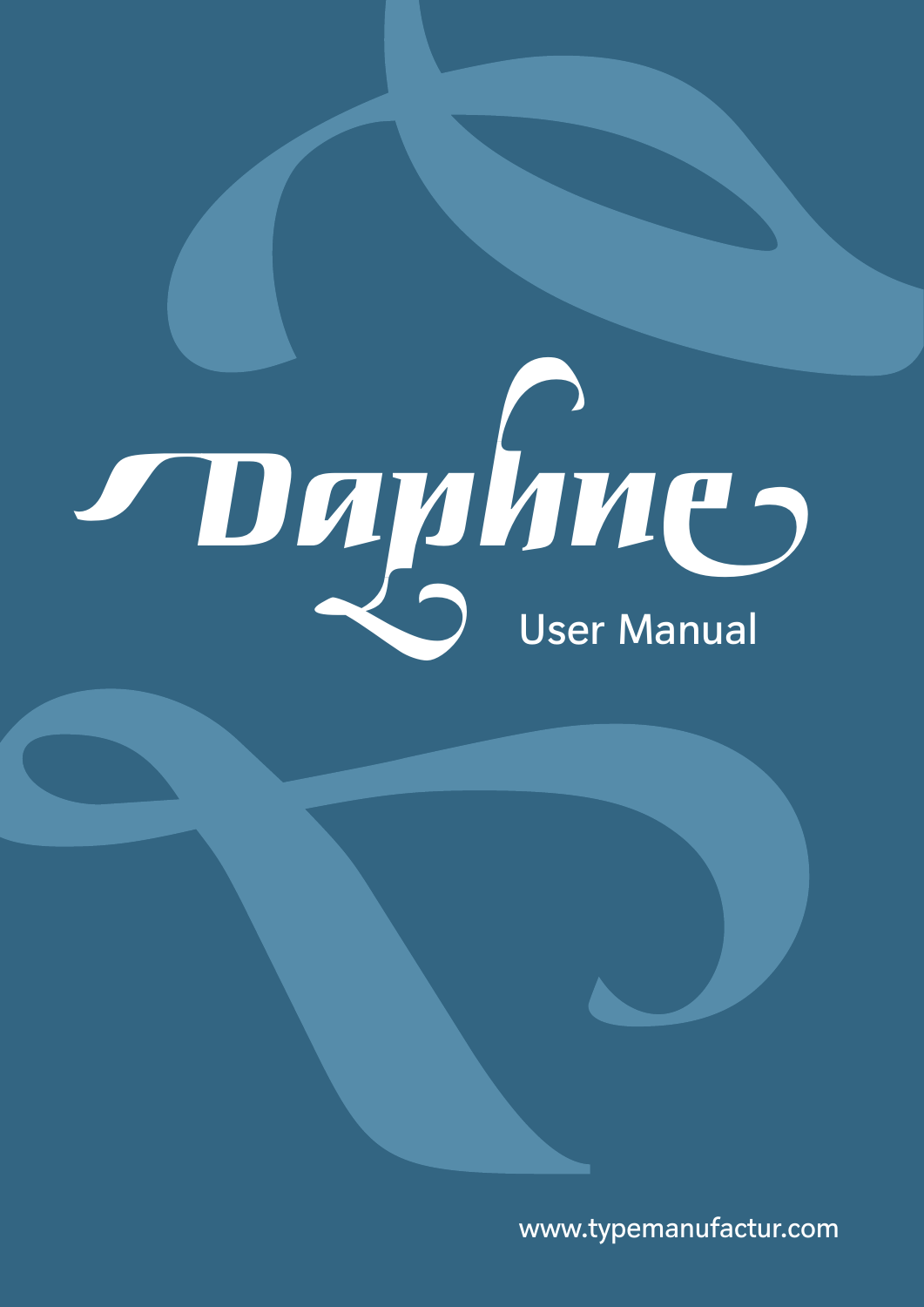# Daphnes

www.typemanufactur.com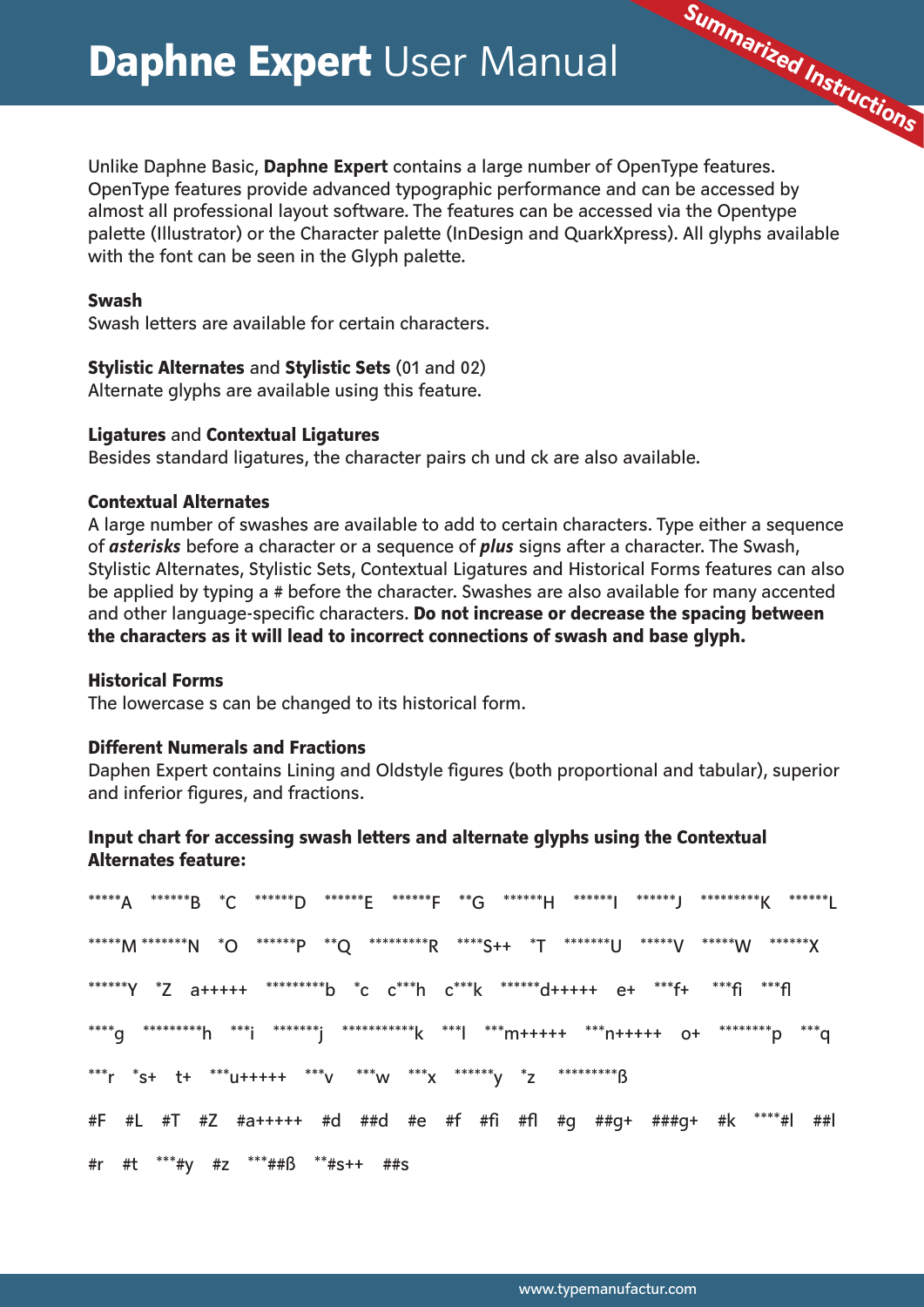Unlike Daphne Basic, Daphne Expert contains a large number of OpenType features. OpenType features provide advanced typographic performance and can be accessed by almost all professional layout software. The features can be accessed via the Opentype palette (Illustrator) or the Character palette (InDesign and QuarkXpress). All glyphs available with the font can be seen in the Glyph palette.

Summarized Instructions

# **Swash**

Swash letters are available for certain characters.

# **Stylistic Alternates and Stylistic Sets (01 and 02)**

Alternate glyphs are available using this feature.

# **Ligatures and Contextual Ligatures**

Besides standard ligatures, the character pairs ch und ck are also available.

# **Contextual Alternates**

A large number of swashes are available to add to certain characters. Type either a sequence of asterisks before a character or a sequence of plus signs after a character. The Swash, Stylistic Alternates, Stylistic Sets, Contextual Ligatures and Historical Forms features can also be applied by typing a # before the character. Swashes are also available for many accented and other language-specific characters. Do not increase or decrease the spacing between the characters as it will lead to incorrect connections of swash and base glyph.

### **Historical Forms**

The lowercase s can be changed to its historical form.

### **Different Numerals and Fractions**

Daphen Expert contains Lining and Oldstyle figures (both proportional and tabular), superior and inferior figures, and fractions.

# Input chart for accessing swash letters and alternate glyphs using the Contextual **Alternates feature:**

\*\*\*\*\*A \*\*\*\*\*\*B \*C \*\*\*\*\*\*D \*\*\*\*\*\*F \*\*\*F \*\*G \*\*\*\*\*\*H \*\*\*\*\*\*\*J \*\*\*\*\*\*\*J \*\*\*\*\*\*\*\*K \*\*\*\*\*\*I \*\*\*\*\*\*Y \*Z a+++++ \*\*\*\*\*\*\*\*\*b \*c c\*\*\*h c\*\*\*k \*\*\*\*\*\*\*d+++++ e+ \*\*\*f+ \*\*\*fi \*\*\*fl \*\*\*r \*s+ t+ \*\*\*u+++++ \*\*\*v \*\*\*\*w \*\*\*\*x \*\*\*\*\*\*v \*z \*\*\*\*\*\*\*\*\*\*\*  $#F$ #r #t \*\*\*#y #z \*\*\*##ß \*\*#s++ ##s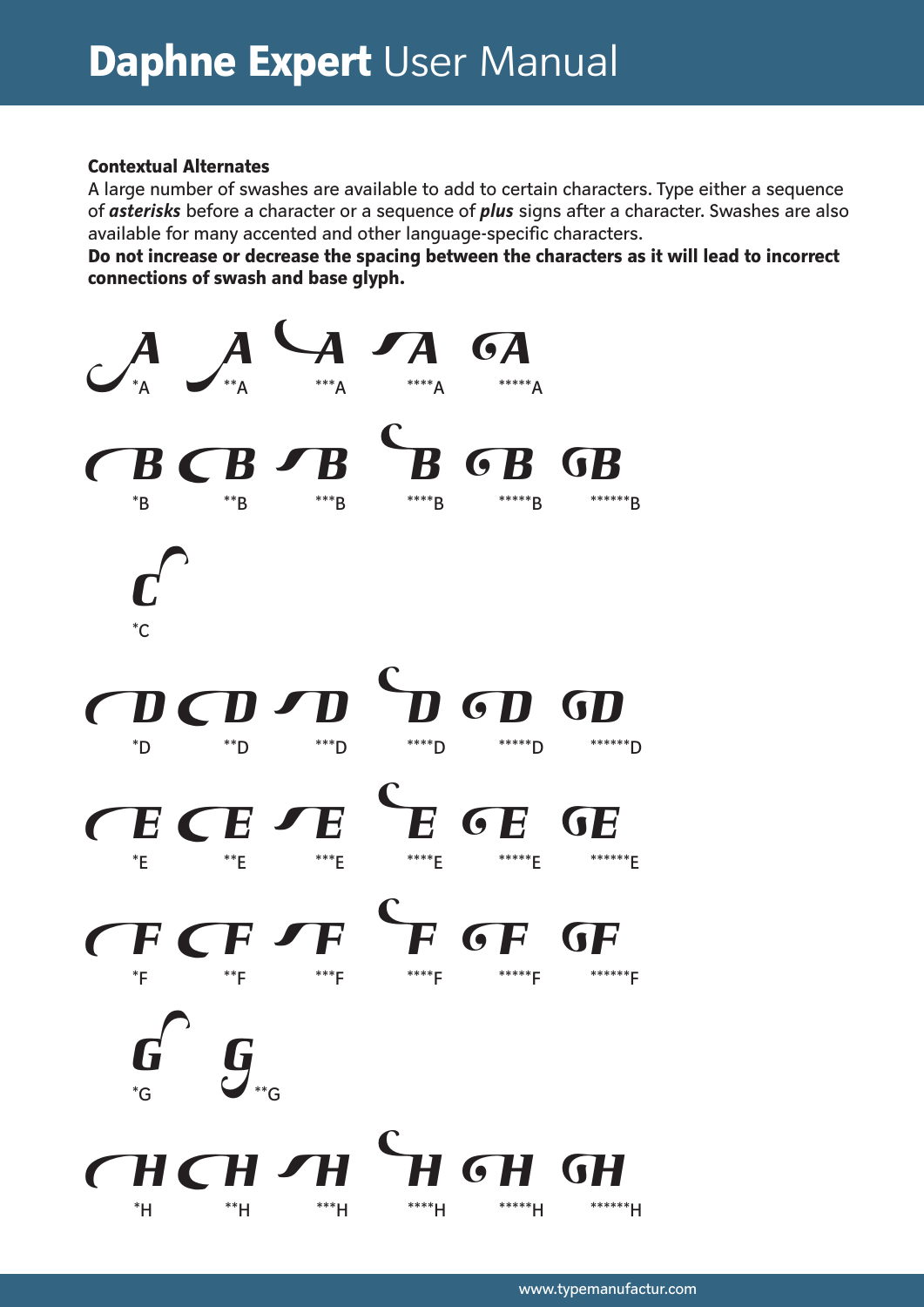# **Contextual Alternates**

A large number of swashes are available to add to certain characters. Type either a sequence of asterisks before a character or a sequence of plus signs after a character. Swashes are also available for many accented and other language-specific characters.

Do not increase or decrease the spacing between the characters as it will lead to incorrect connections of swash and base glyph.

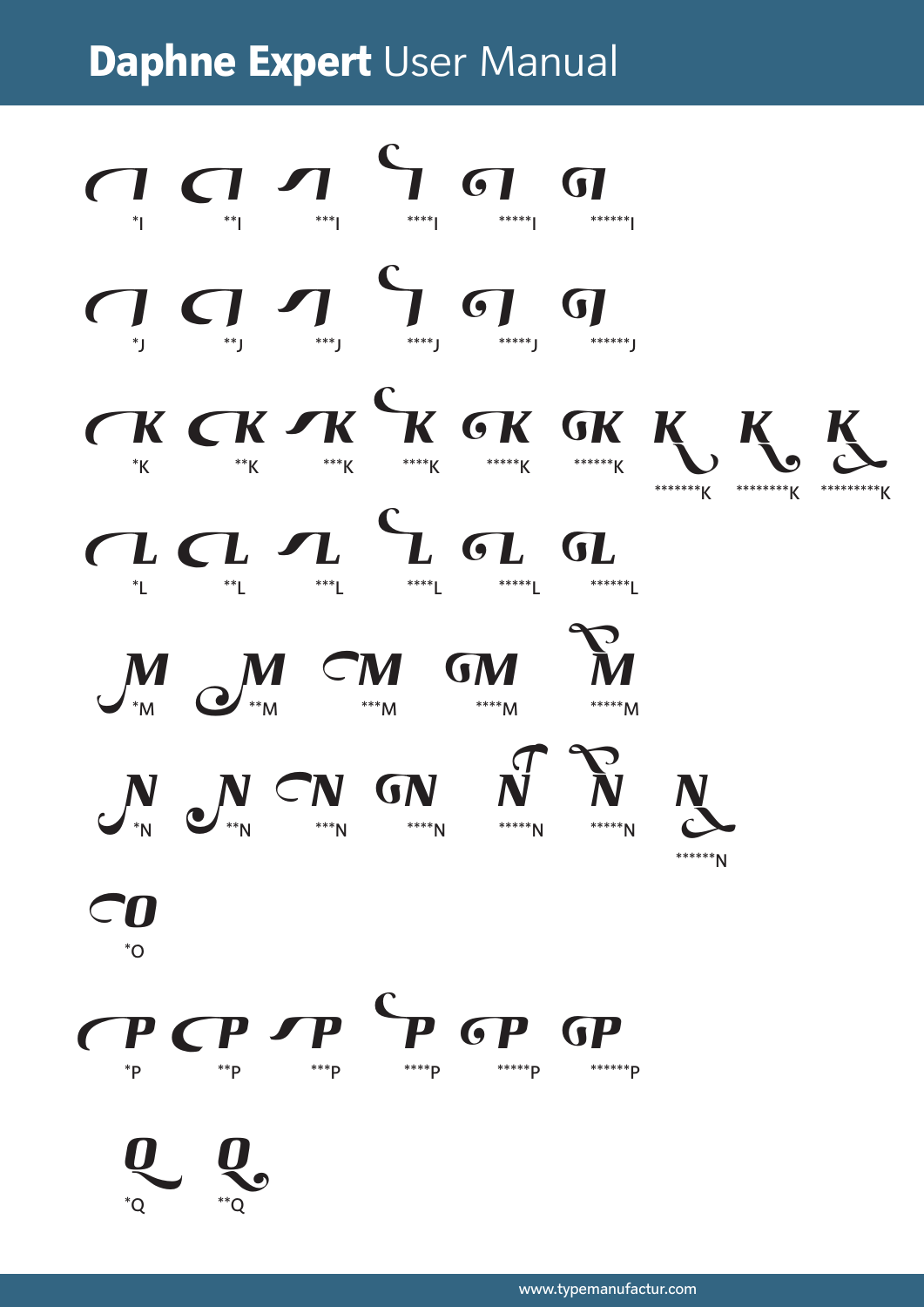

www.typemanufactur.com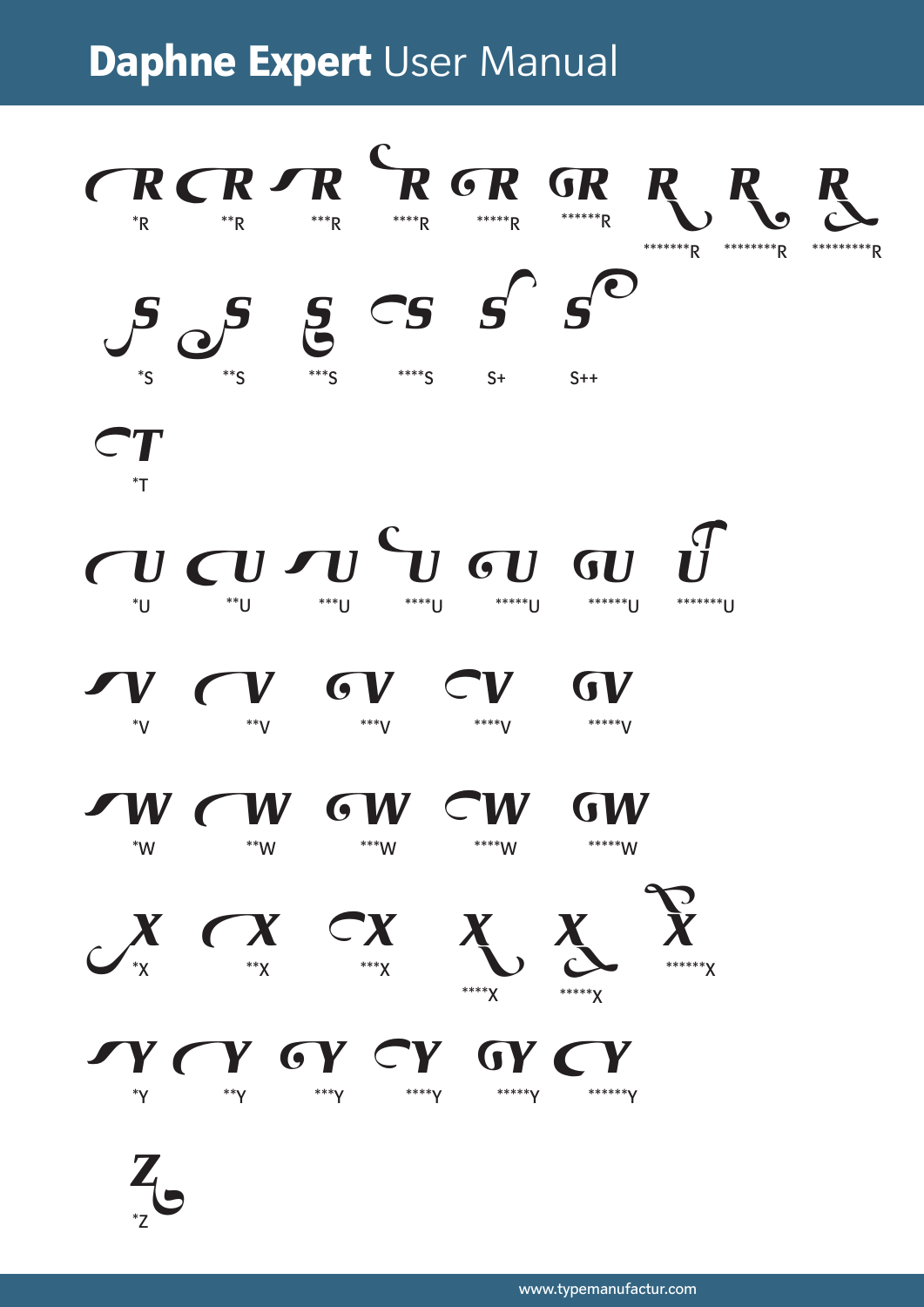

www.typemanufactur.com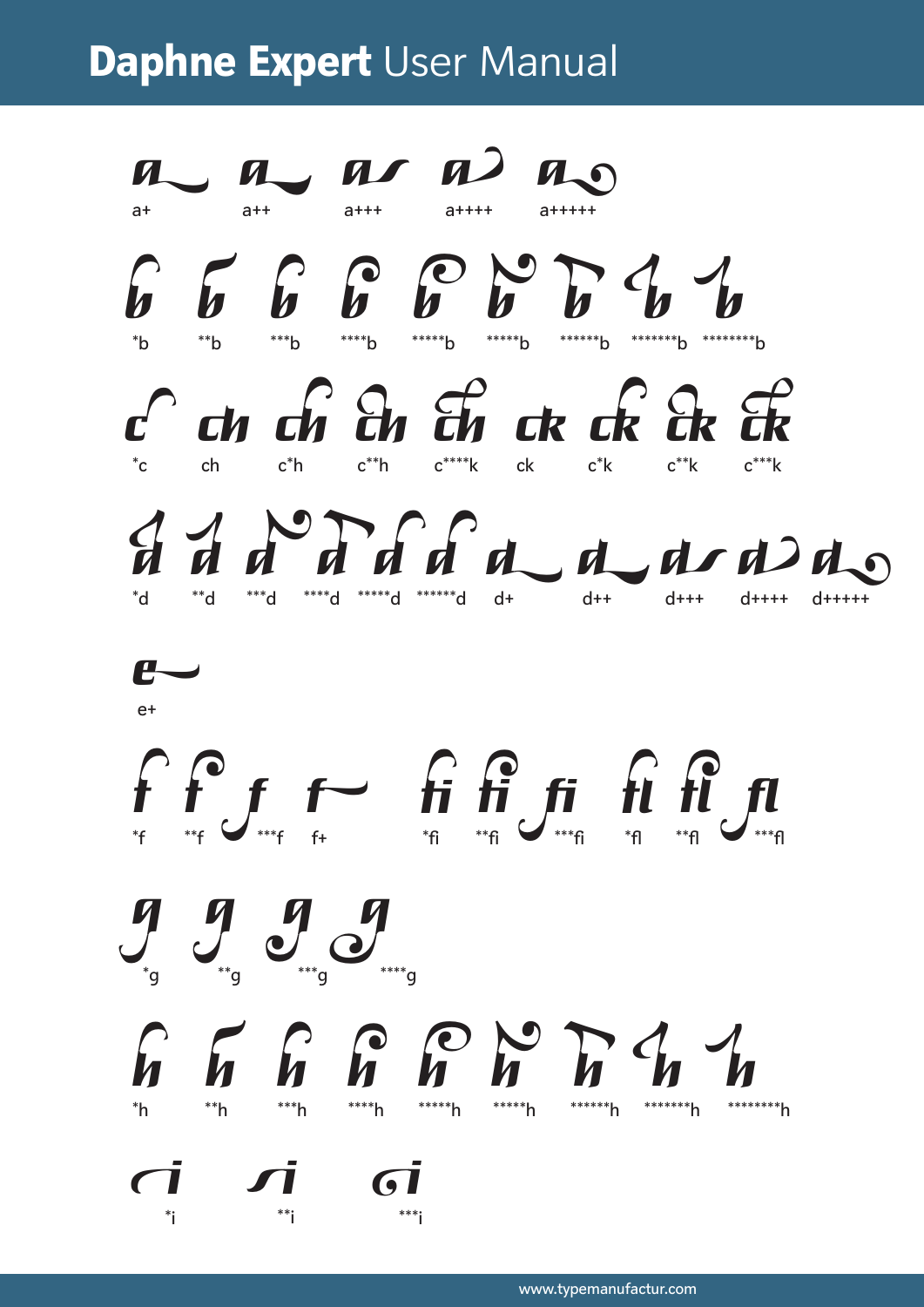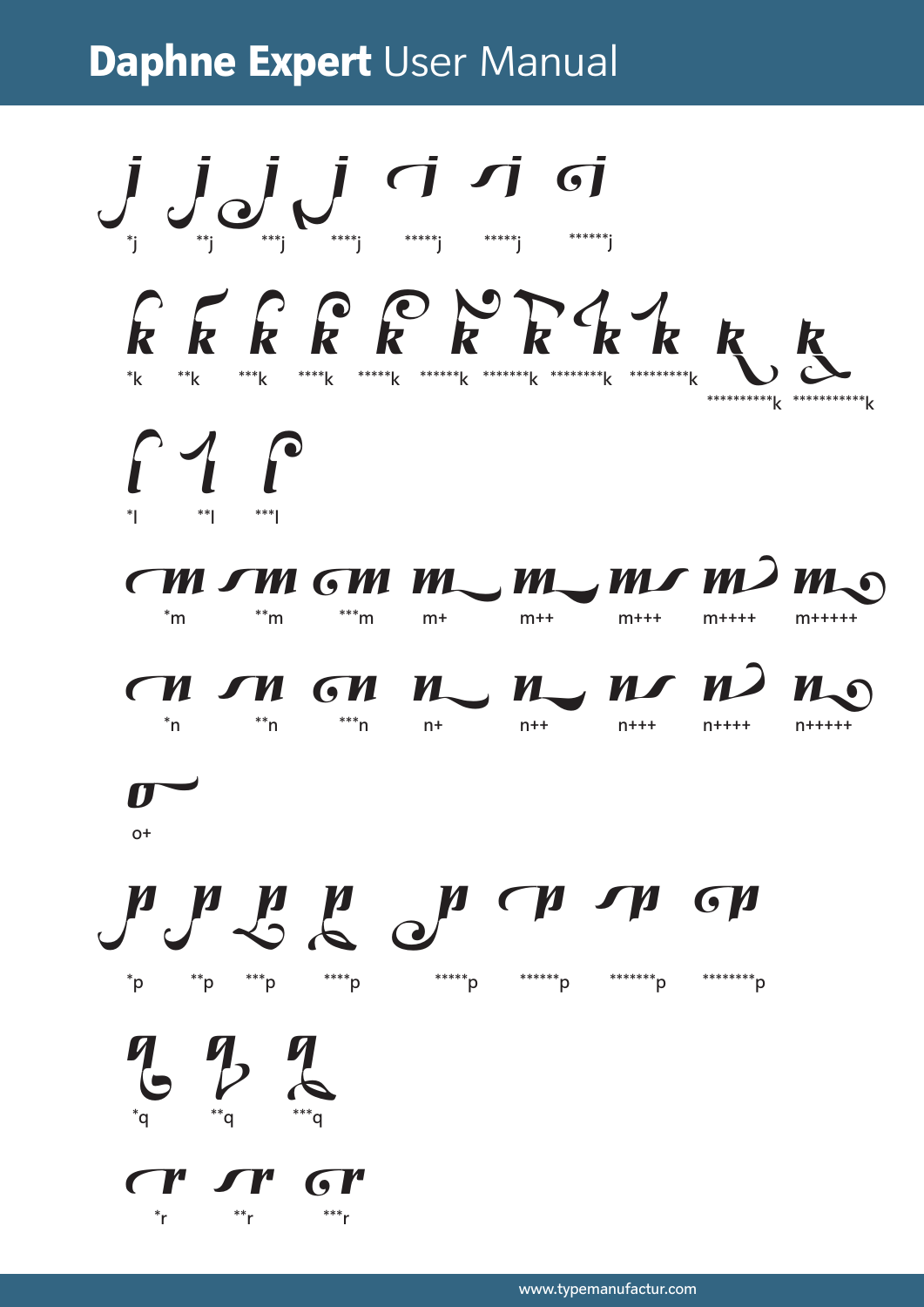$\int_{\gamma} \int_{\gamma} \underbrace{J}_{\gamma} \underbrace{J}_{\gamma} \underbrace{J}_{\gamma} \underbrace{J}_{\gamma} \underbrace{\gamma} \underbrace{\gamma} \underbrace{\gamma} \underbrace{\gamma} \underbrace{\gamma}$ RERRRRKKKRK  $\Gamma$  1  $\Gamma$  $CM$  om  $GM$   $m$   $m$   $m$   $m$   $m$   $m$  $\sum_{n=1}^{\infty}$  and  $\sum_{n=1}^{\infty}$  and  $\sum_{n=1}^{\infty}$  and  $\sum_{n=1}^{\infty}$  and  $\sum_{n=1}^{\infty}$  and  $\sum_{n=1}^{\infty}$  and  $\sum_{n=1}^{\infty}$  and  $\sum_{n=1}^{\infty}$  and  $\sum_{n=1}^{\infty}$  and  $\sum_{n=1}^{\infty}$  and  $\sum_{n=1}^{\infty}$  and  $\sum_{n=1}^{\infty$  $m+$  $m++$  $m++++$ CH UM CH HUM HUM HO  $n^*$ n  $n^*$ n  $n^*$ n n+  $\mathbf{r}$  $O<sup>+</sup>$ n n n n n n n ch  $P$ <sup>\*\*\*</sup>\* p  $P$ \*\*\*\*\*\*p \*\*\*\*\*\*\*p \*\*\*\*\*\*\*\*p \*\*\*\*\*\*\*\*p  $9/2$ 

T' ST' GI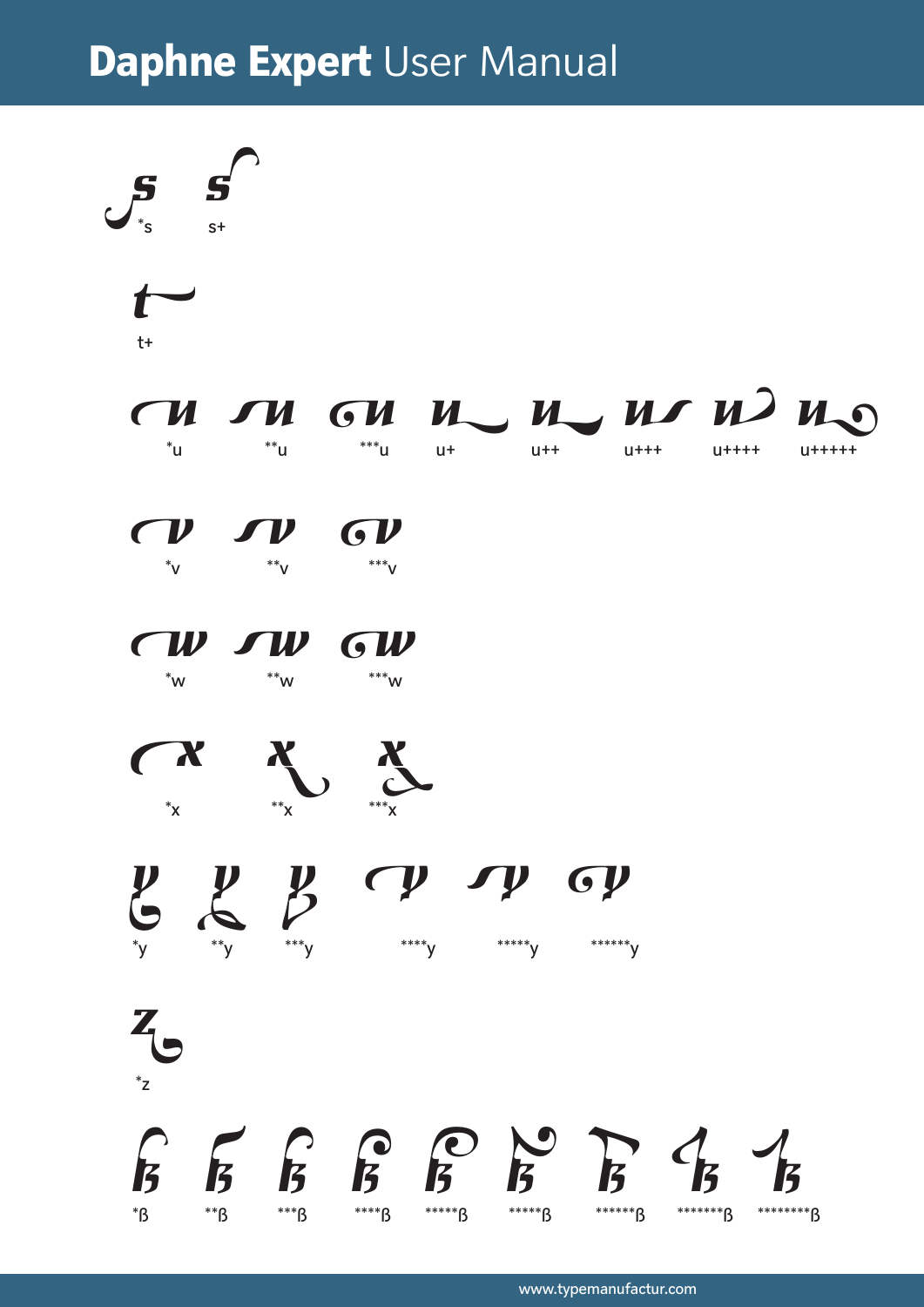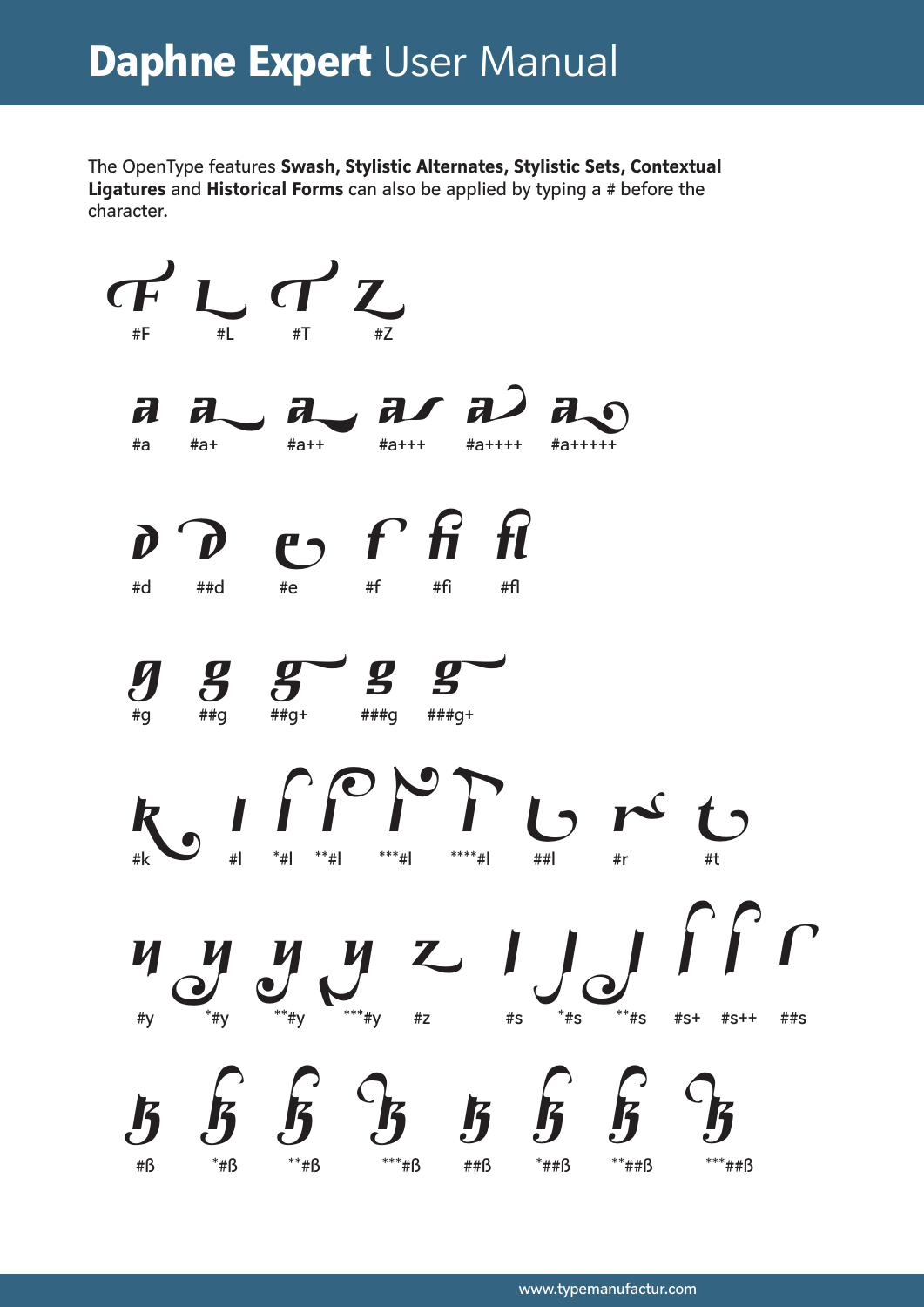The OpenType features Swash, Stylistic Alternates, Stylistic Sets, Contextual Ligatures and Historical Forms can also be applied by typing a # before the character.

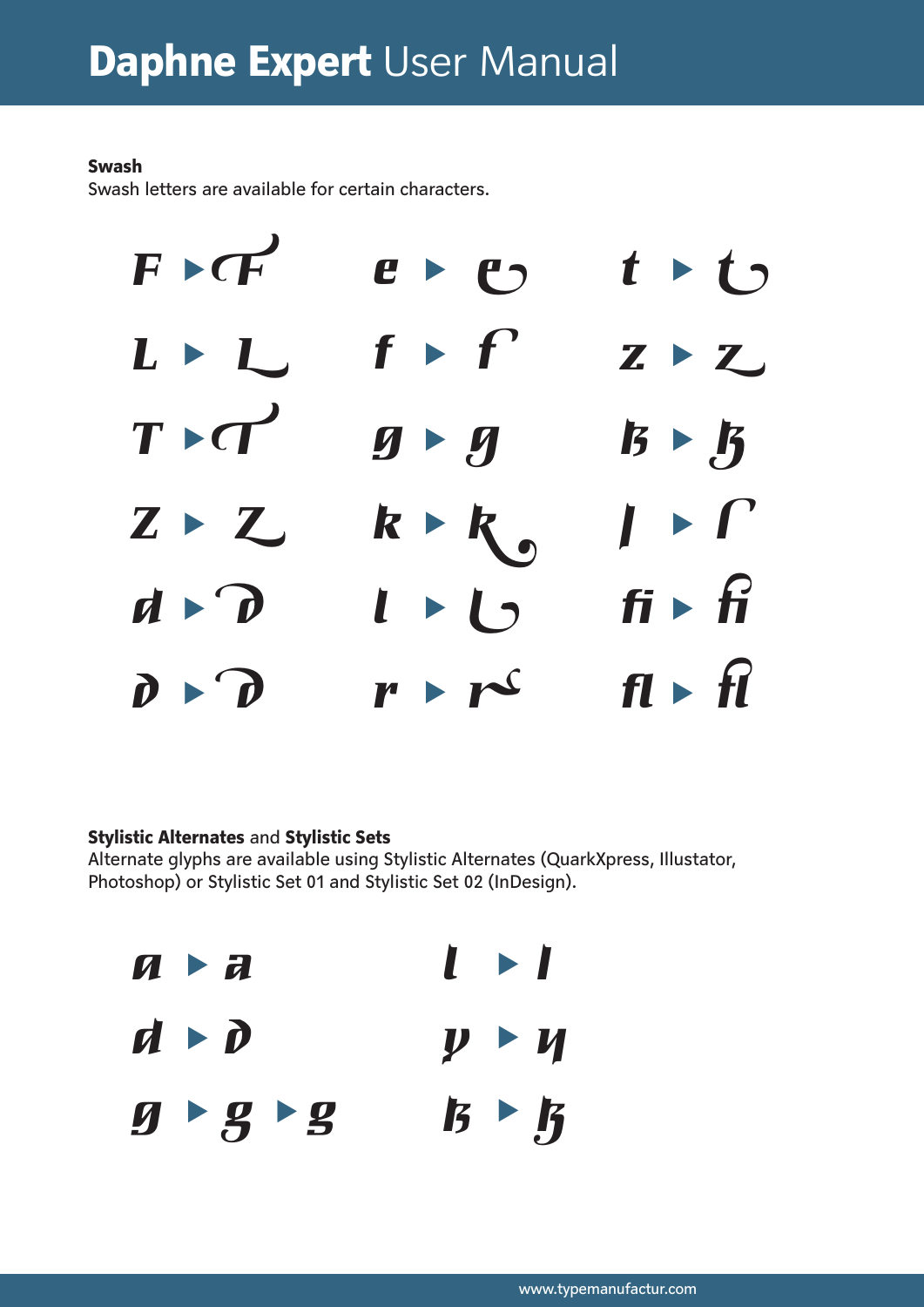# Swash

Swash letters are available for certain characters.



# Stylistic Alternates and Stylistic Sets

Alternate glyphs are available using Stylistic Alternates (QuarkXpress, Illustator, Photoshop) or Stylistic Set 01 and Stylistic Set 02 (InDesign).